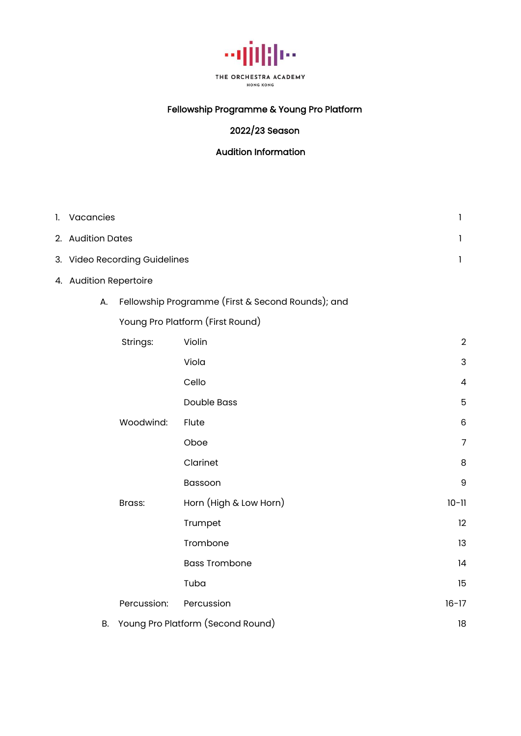

# Fellowship Programme & Young Pro Platform

# 2022/23 Season

### Audition Information

| 1. Vacancies           |                               |                                                   | 1              |
|------------------------|-------------------------------|---------------------------------------------------|----------------|
| 2. Audition Dates      |                               |                                                   | 1              |
|                        | 3. Video Recording Guidelines |                                                   | 1              |
| 4. Audition Repertoire |                               |                                                   |                |
| А.                     |                               | Fellowship Programme (First & Second Rounds); and |                |
|                        |                               | Young Pro Platform (First Round)                  |                |
|                        | Strings:                      | Violin                                            | $\overline{2}$ |
|                        |                               | Viola                                             | 3              |
|                        |                               | Cello                                             | 4              |
|                        |                               | <b>Double Bass</b>                                | 5              |
|                        | Woodwind:                     | Flute                                             | 6              |
|                        |                               | Oboe                                              | $\overline{7}$ |
|                        |                               | Clarinet                                          | 8              |
|                        |                               | Bassoon                                           | 9              |
|                        | Brass:                        | Horn (High & Low Horn)                            | $10 - 11$      |
|                        |                               | Trumpet                                           | 12             |
|                        |                               | Trombone                                          | 13             |
|                        |                               | <b>Bass Trombone</b>                              | 4              |
|                        |                               | Tuba                                              | 15             |
|                        | Percussion:                   | Percussion                                        | $16 - 17$      |
| <b>B.</b>              |                               | Young Pro Platform (Second Round)                 | 18             |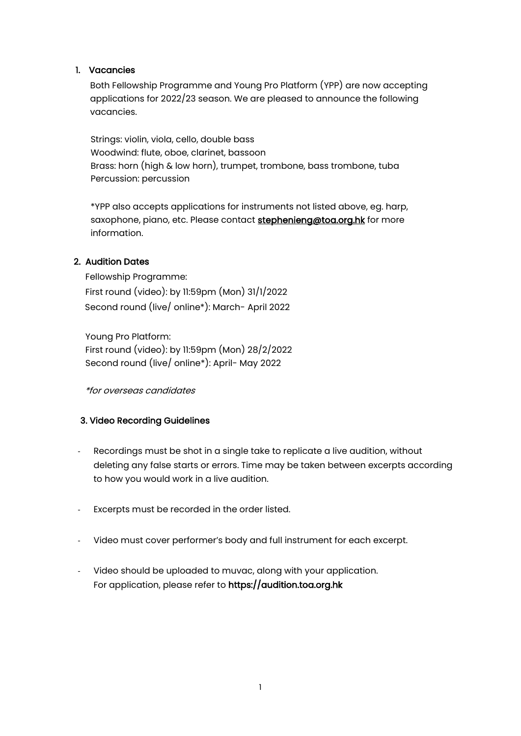#### 1. Vacancies

Both Fellowship Programme and Young Pro Platform (YPP) are now accepting applications for 2022/23 season. We are pleased to announce the following vacancies.

Strings: violin, viola, cello, double bass Woodwind: flute, oboe, clarinet, bassoon Brass: horn (high & low horn), trumpet, trombone, bass trombone, tuba Percussion: percussion

\*YPP also accepts applications for instruments not listed above, eg. harp, saxophone, piano, etc. Please contact stephenieng@toa.org.hk for more information.

#### 2. Audition Dates

 Fellowship Programme: First round (video): by 11:59pm (Mon) 31/1/2022 Second round (live/ online\*): March- April 2022

 Young Pro Platform: First round (video): by 11:59pm (Mon) 28/2/2022 Second round (live/ online\*): April- May 2022

\*for overseas candidates

### 3. Video Recording Guidelines

- Recordings must be shot in a single take to replicate a live audition, without deleting any false starts or errors. Time may be taken between excerpts according to how you would work in a live audition.
- Excerpts must be recorded in the order listed.
- Video must cover performer's body and full instrument for each excerpt.
- Video should be uploaded to muvac, along with your application. For application, please refer to https://audition.toa.org.hk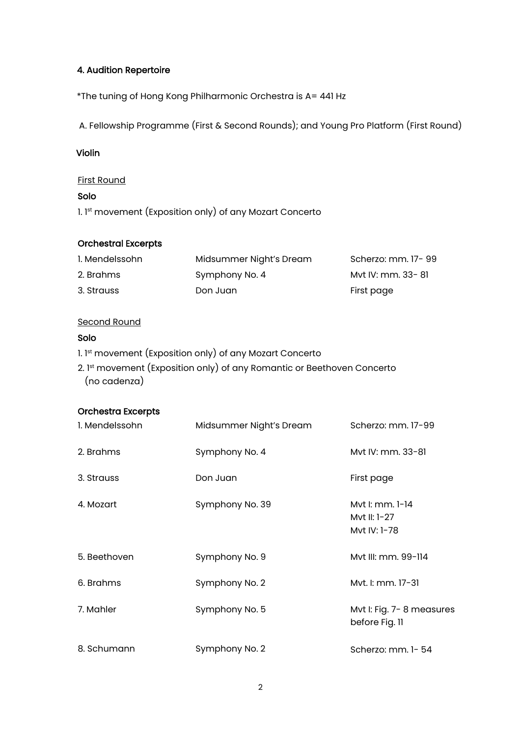#### 4. Audition Repertoire

\*The tuning of Hong Kong Philharmonic Orchestra is A= 441 Hz

A. Fellowship Programme (First & Second Rounds); and Young Pro Platform (First Round)

#### Violin

#### First Round

#### Solo

1. 1<sup>st</sup> movement (Exposition only) of any Mozart Concerto

#### Orchestral Excerpts

| 1. Mendelssohn | Midsummer Night's Dream | Scherzo: mm. 17-99 |
|----------------|-------------------------|--------------------|
| 2. Brahms      | Symphony No. 4          | Myt IV: mm. 33- 81 |
| 3. Strauss     | Don Juan                | First page         |

#### Second Round

#### Solo

- 1. 1st movement (Exposition only) of any Mozart Concerto
- 2. 1st movement (Exposition only) of any Romantic or Beethoven Concerto (no cadenza)

| 1. Mendelssohn | Midsummer Night's Dream | Scherzo: mm. 17-99                              |
|----------------|-------------------------|-------------------------------------------------|
| 2. Brahms      | Symphony No. 4          | Myt IV: mm. 33-81                               |
| 3. Strauss     | Don Juan                | First page                                      |
| 4. Mozart      | Symphony No. 39         | Myt I: mm. 1-14<br>Myt II: 1-27<br>Mvt IV: 1-78 |
| 5. Beethoven   | Symphony No. 9          | Myt III: mm. 99-114                             |
| 6. Brahms      | Symphony No. 2          | Mvt. I: mm. 17-31                               |
| 7. Mahler      | Symphony No. 5          | Mvt I: Fig. 7-8 measures<br>before Fig. II      |
| 8. Schumann    | Symphony No. 2          | Scherzo: mm. 1-54                               |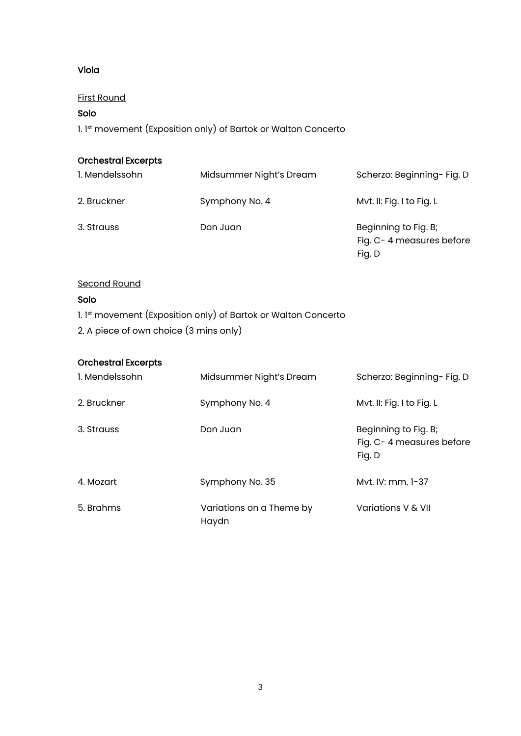### Viola

First Round

# Solo

1. 1st movement (Exposition only) of Bartok or Walton Concerto

# Orchestral Excerpts

| 1. Mendelssohn | Midsummer Night's Dream | Scherzo: Beginning- Fig. D                                 |
|----------------|-------------------------|------------------------------------------------------------|
| 2. Bruckner    | Symphony No. 4          | Myt. II: Fig. I to Fig. L                                  |
| 3. Strauss     | Don Juan                | Beginning to Fig. B;<br>Fig. C-4 measures before<br>Fig. D |

#### Second Round

### Solo

- 1. 1st movement (Exposition only) of Bartok or Walton Concerto
- 2. A piece of own choice (3 mins only)

| 1. Mendelssohn | Midsummer Night's Dream           | Scherzo: Beginning- Fig. D                                 |
|----------------|-----------------------------------|------------------------------------------------------------|
| 2. Bruckner    | Symphony No. 4                    | Mvt. II: Fig. I to Fig. L                                  |
| 3. Strauss     | Don Juan                          | Beginning to Fig. B;<br>Fig. C-4 measures before<br>Fig. D |
| 4. Mozart      | Symphony No. 35                   | Myt. IV: mm. 1-37                                          |
| 5. Brahms      | Variations on a Theme by<br>Haydn | Variations V & VII                                         |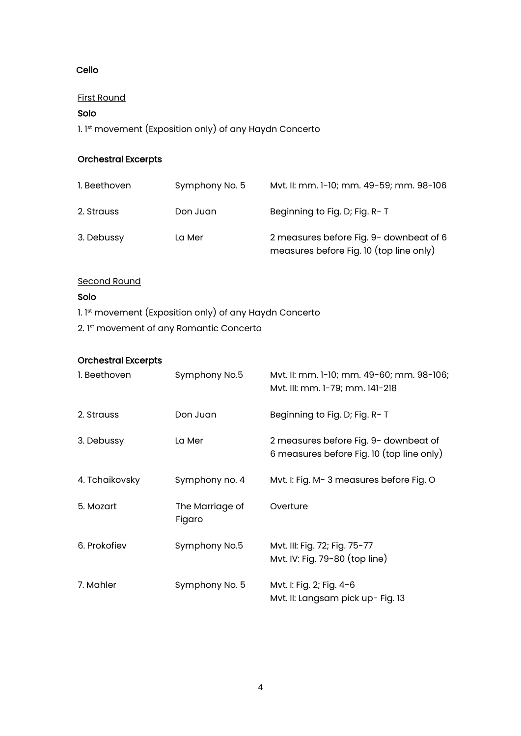### Cello

#### First Round

# Solo

1. 1st movement (Exposition only) of any Haydn Concerto

# Orchestral Excerpts

| I. Beethoven | Symphony No. 5 | Myt. II: mm. 1-10; mm. 49-59; mm. 98-106                                           |
|--------------|----------------|------------------------------------------------------------------------------------|
| 2. Strauss   | Don Juan       | Beginning to Fig. D; Fig. R-T                                                      |
| 3. Debussy   | La Mer         | 2 measures before Fig. 9- downbeat of 6<br>measures before Fig. 10 (top line only) |

#### Second Round

#### Solo

- 1. 1st movement (Exposition only) of any Haydn Concerto
- 2. 1st movement of any Romantic Concerto

| 1. Beethoven   | Symphony No.5             | Mvt. II: mm. 1-10; mm. 49-60; mm. 98-106;<br>Mvt. III: mm. 1-79; mm. 141-218       |
|----------------|---------------------------|------------------------------------------------------------------------------------|
| 2. Strauss     | Don Juan                  | Beginning to Fig. D; Fig. R-T                                                      |
| 3. Debussy     | La Mer                    | 2 measures before Fig. 9- downbeat of<br>6 measures before Fig. 10 (top line only) |
| 4. Tchaikovsky | Symphony no. 4            | Mvt. I: Fig. M-3 measures before Fig. O                                            |
| 5. Mozart      | The Marriage of<br>Figaro | Overture                                                                           |
| 6. Prokofiev   | Symphony No.5             | Mvt. III: Fig. 72; Fig. 75-77<br>Mvt. IV: Fig. 79-80 (top line)                    |
| 7. Mahler      | Symphony No. 5            | Mvt. I: Fig. 2; Fig. 4-6<br>Mvt. II: Langsam pick up- Fig. 13                      |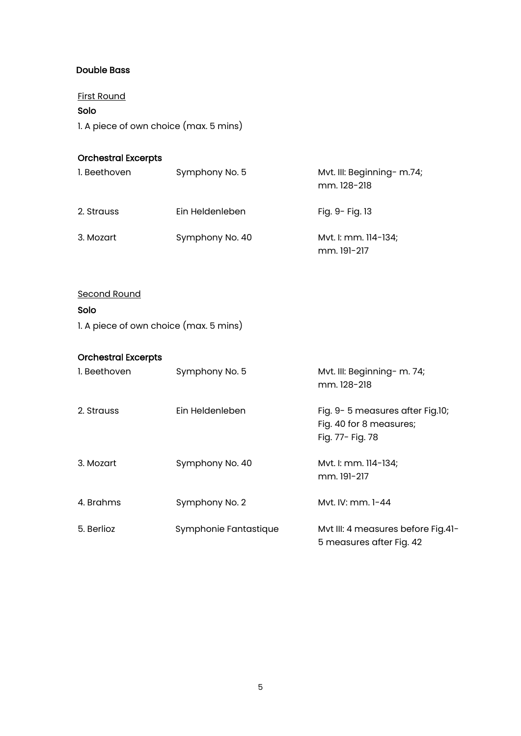#### Double Bass

First Round

Solo

1. A piece of own choice (max. 5 mins)

#### Orchestral Excerpts

| 1. Beethoven | Symphony No. 5  | Mvt. III: Beginning- m.74;<br>mm. 128-218 |
|--------------|-----------------|-------------------------------------------|
| 2. Strauss   | Ein Heldenleben | Fig. 9- Fig. 13                           |
| 3. Mozart    | Symphony No. 40 | Mvt. I: mm. 114-134;<br>mm. 191-217       |

# Second Round

### Solo

1. A piece of own choice (max. 5 mins)

| I. Beethoven | Symphony No. 5        | Mvt. III: Beginning- m. 74;<br>mm. 128-218                                     |
|--------------|-----------------------|--------------------------------------------------------------------------------|
| 2. Strauss   | Ein Heldenleben       | Fig. 9-5 measures after Fig.10;<br>Fig. 40 for 8 measures;<br>Fig. 77- Fig. 78 |
| 3. Mozart    | Symphony No. 40       | Mvt. I: mm. 114-134;<br>mm. 191-217                                            |
| 4. Brahms    | Symphony No. 2        | Myt. IV: mm. 1-44                                                              |
| 5. Berlioz   | Symphonie Fantastique | Mvt III: 4 measures before Fig.41-<br>5 measures after Fig. 42                 |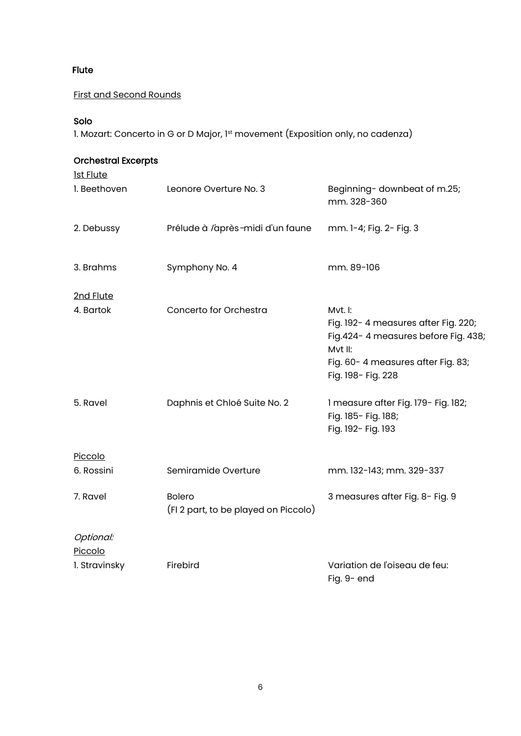### Flute

# First and Second Rounds

#### Solo

1. Mozart: Concerto in G or D Major, 1st movement (Exposition only, no cadenza)

| <b>Orchestral Excerpts</b><br><u>Ist Flute</u> |                                                       |                                                                                                                                                              |
|------------------------------------------------|-------------------------------------------------------|--------------------------------------------------------------------------------------------------------------------------------------------------------------|
| 1. Beethoven                                   | Leonore Overture No. 3                                | Beginning-downbeat of m.25;<br>mm. 328-360                                                                                                                   |
| 2. Debussy                                     | Prélude à l'après-midi d'un faune                     | mm. 1-4; Fig. 2- Fig. 3                                                                                                                                      |
| 3. Brahms                                      | Symphony No. 4                                        | mm. 89-106                                                                                                                                                   |
| 2nd Flute                                      |                                                       |                                                                                                                                                              |
| 4. Bartok                                      | Concerto for Orchestra                                | Mvt. I:<br>Fig. 192-4 measures after Fig. 220;<br>Fig. 424-4 measures before Fig. 438;<br>Mvt II:<br>Fig. 60-4 measures after Fig. 83;<br>Fig. 198- Fig. 228 |
| 5. Ravel                                       | Daphnis et Chloé Suite No. 2                          | 1 measure after Fig. 179- Fig. 182;<br>Fig. 185- Fig. 188;<br>Fig. 192- Fig. 193                                                                             |
| Piccolo                                        |                                                       |                                                                                                                                                              |
| 6. Rossini                                     | Semiramide Overture                                   | mm. 132-143; mm. 329-337                                                                                                                                     |
| 7. Ravel                                       | <b>Bolero</b><br>(FI 2 part, to be played on Piccolo) | 3 measures after Fig. 8- Fig. 9                                                                                                                              |
| Optional:<br>Piccolo                           |                                                       |                                                                                                                                                              |
| 1. Stravinsky                                  | Firebird                                              | Variation de l'oiseau de feu:<br>Fig. 9- end                                                                                                                 |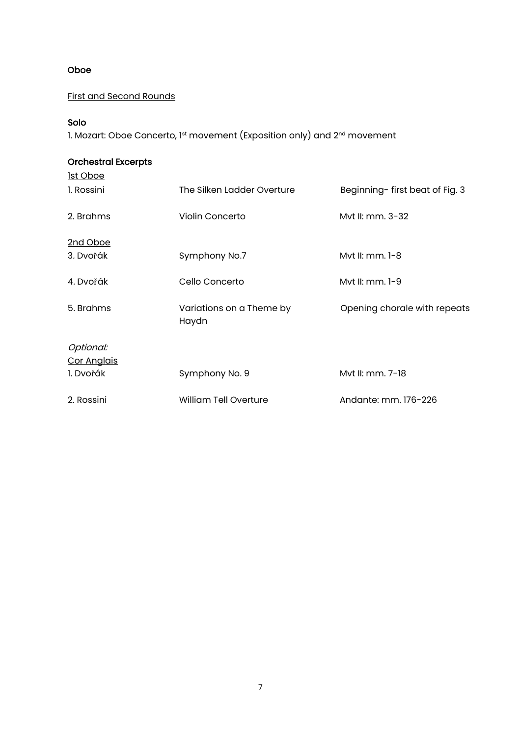#### Oboe

#### First and Second Rounds

#### Solo

1. Mozart: Oboe Concerto, 1st movement (Exposition only) and 2<sup>nd</sup> movement

# Orchestral Excerpts 1st Oboe 1. Rossini The Silken Ladder Overture Beginning- first beat of Fig. 3 2. Brahms Violin Concerto Myt II: mm. 3-32 2nd Oboe 3. Dvořák Symphony No.7 Mvt II: mm. 1-8 4. Dvořák Cello Concerto Mvt II: mm. 1-9 5. Brahms Variations on a Theme by Haydn Opening chorale with repeats Optional: Cor Anglais 1. Dvořák Symphony No. 9 Mvt II: mm. 7-18 2. Rossini William Tell Overture Andante: mm. 176-226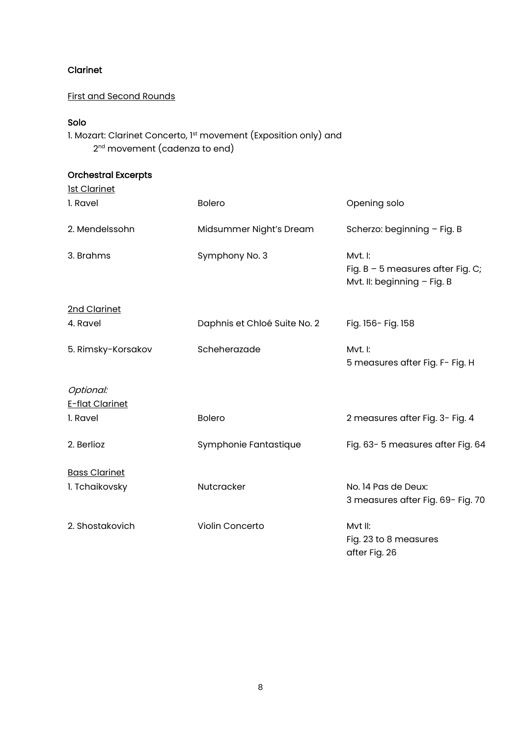# Clarinet

#### First and Second Rounds

# Solo

1. Mozart: Clarinet Concerto, 1<sup>st</sup> movement (Exposition only) and 2<sup>nd</sup> movement (cadenza to end)

| <b>Ist Clarinet</b>  |                              |                                                                               |
|----------------------|------------------------------|-------------------------------------------------------------------------------|
| 1. Ravel             | <b>Bolero</b>                | Opening solo                                                                  |
| 2. Mendelssohn       | Midsummer Night's Dream      | Scherzo: beginning - Fig. B                                                   |
| 3. Brahms            | Symphony No. 3               | Mvt. I:<br>Fig. $B - 5$ measures after Fig. C;<br>Mvt. II: beginning - Fig. B |
| 2nd Clarinet         |                              |                                                                               |
| 4. Ravel             | Daphnis et Chloé Suite No. 2 | Fig. 156- Fig. 158                                                            |
| 5. Rimsky-Korsakov   | Scheherazade                 | Mvt. I:<br>5 measures after Fig. F- Fig. H                                    |
| Optional:            |                              |                                                                               |
| E-flat Clarinet      |                              |                                                                               |
| 1. Ravel             | <b>Bolero</b>                | 2 measures after Fig. 3- Fig. 4                                               |
| 2. Berlioz           | Symphonie Fantastique        | Fig. 63-5 measures after Fig. 64                                              |
| <b>Bass Clarinet</b> |                              |                                                                               |
| 1. Tchaikovsky       | Nutcracker                   | No. 14 Pas de Deux:<br>3 measures after Fig. 69- Fig. 70                      |
| 2. Shostakovich      | Violin Concerto              | Mvt II:<br>Fig. 23 to 8 measures<br>after Fig. 26                             |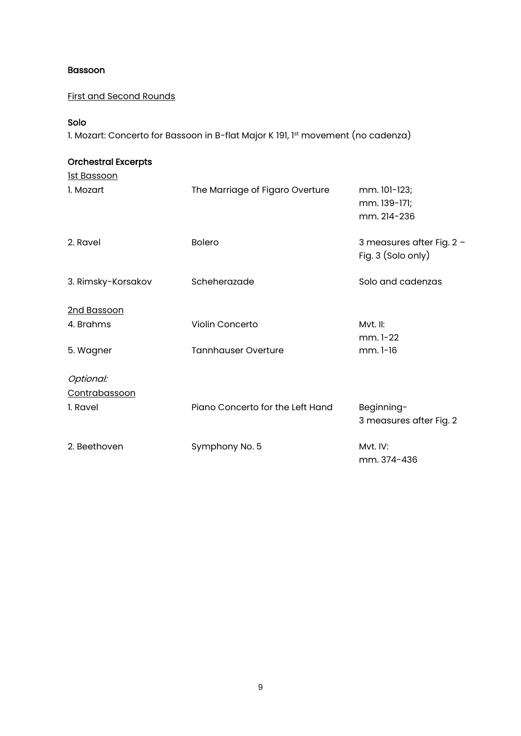#### Bassoon

# First and Second Rounds

### Solo

1. Mozart: Concerto for Bassoon in B-flat Major K 191, 1st movement (no cadenza)

| <b>Orchestral Excerpts</b> |                                  |                                                 |
|----------------------------|----------------------------------|-------------------------------------------------|
| <u>lst Bassoon</u>         |                                  |                                                 |
| 1. Mozart                  | The Marriage of Figaro Overture  | mm. 101-123;<br>mm. 139-171;<br>mm. 214-236     |
| 2. Ravel                   | <b>Bolero</b>                    | 3 measures after Fig. 2 -<br>Fig. 3 (Solo only) |
| 3. Rimsky-Korsakov         | Scheherazade                     | Solo and cadenzas                               |
| 2nd Bassoon                |                                  |                                                 |
| 4. Brahms                  | Violin Concerto                  | Mvt. II:<br>mm. 1-22                            |
| 5. Wagner                  | <b>Tannhauser Overture</b>       | mm. 1-16                                        |
| Optional:                  |                                  |                                                 |
| Contrabassoon              |                                  |                                                 |
| 1. Ravel                   | Piano Concerto for the Left Hand | Beginning-<br>3 measures after Fig. 2           |
| 2. Beethoven               | Symphony No. 5                   | Myt. IV:<br>mm. 374-436                         |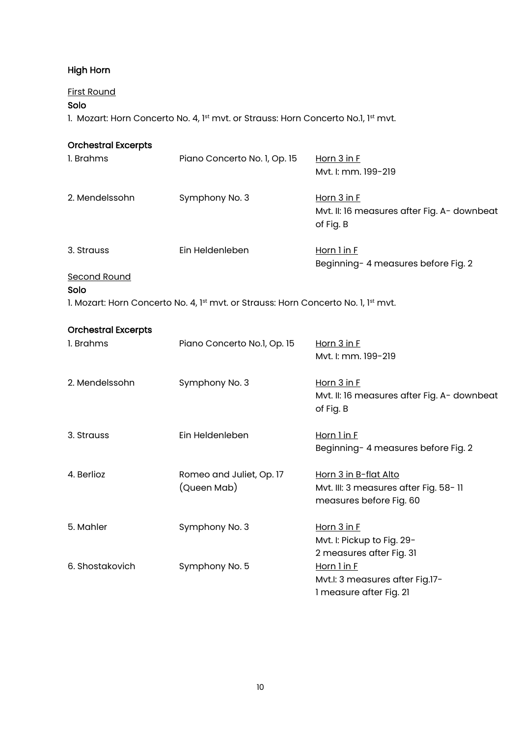# High Horn

#### First Round

# Solo

1. Mozart: Horn Concerto No. 4, 1st mvt. or Strauss: Horn Concerto No.1, 1st mvt.

| <b>Orchestral Excerpts</b>        |                                                                                    |                                                                                           |
|-----------------------------------|------------------------------------------------------------------------------------|-------------------------------------------------------------------------------------------|
| 1. Brahms                         | Piano Concerto No. 1, Op. 15                                                       | Horn $3$ in $F$<br>Mvt. I: mm. 199-219                                                    |
| 2. Mendelssohn                    | Symphony No. 3                                                                     | Horn $3$ in $F$<br>Mvt. II: 16 measures after Fig. A- downbeat<br>of Fig. B               |
| 3. Strauss<br><b>Second Round</b> | Ein Heldenleben                                                                    | Horn 1 in F<br>Beginning- 4 measures before Fig. 2                                        |
| Solo                              |                                                                                    |                                                                                           |
|                                   | 1. Mozart: Horn Concerto No. 4, 1st mvt. or Strauss: Horn Concerto No. 1, 1st mvt. |                                                                                           |
| <b>Orchestral Excerpts</b>        |                                                                                    |                                                                                           |
| 1. Brahms                         | Piano Concerto No.1, Op. 15                                                        | Horn 3 in F<br>Mvt. I: mm. 199-219                                                        |
| 2. Mendelssohn                    | Symphony No. 3                                                                     | Horn 3 in F<br>Mvt. II: 16 measures after Fig. A- downbeat<br>of Fig. B                   |
| 3. Strauss                        | Ein Heldenleben                                                                    | Horn 1 in F<br>Beginning- 4 measures before Fig. 2                                        |
| 4. Berlioz                        | Romeo and Juliet, Op. 17<br>(Queen Mab)                                            | Horn 3 in B-flat Alto<br>Mvt. III: 3 measures after Fig. 58-11<br>measures before Fig. 60 |
| 5. Mahler                         | Symphony No. 3                                                                     | Horn 3 in F<br>Mvt. I: Pickup to Fig. 29-<br>2 measures after Fig. 31                     |
| 6. Shostakovich                   | Symphony No. 5                                                                     | Horn 1 in F<br>Mvt.I: 3 measures after Fig.17-<br>1 measure after Fig. 21                 |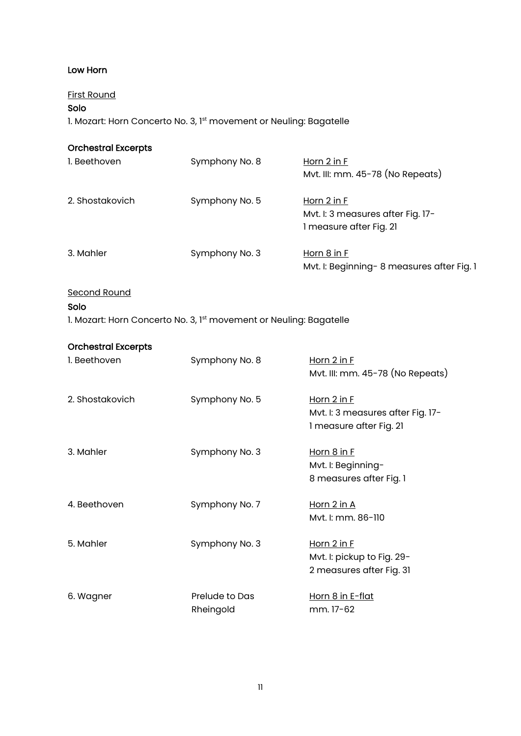#### Low Horn

# First Round

# Solo

1. Mozart: Horn Concerto No. 3, 1st movement or Neuling: Bagatelle

| <b>Orchestral Excerpts</b> |                |                                                                             |
|----------------------------|----------------|-----------------------------------------------------------------------------|
| 1. Beethoven               | Symphony No. 8 | Horn 2 in F<br>Mvt. III: mm. 45-78 (No Repeats)                             |
| 2. Shostakovich            | Symphony No. 5 | Horn 2 in F<br>Mvt. I: 3 measures after Fig. 17-<br>1 measure after Fig. 21 |
| 3. Mahler                  | Symphony No. 3 | Horn 8 in F<br>Mvt. I: Beginning-8 measures after Fig. 1                    |

Second Round

# Solo

1. Mozart: Horn Concerto No. 3, 1st movement or Neuling: Bagatelle

| I. Beethoven    | Symphony No. 8 | Horn $2$ in $F$                   |
|-----------------|----------------|-----------------------------------|
|                 |                | Mvt. III: mm. 45-78 (No Repeats)  |
| 2. Shostakovich | Symphony No. 5 | Horn $2$ in $F$                   |
|                 |                | Mvt. I: 3 measures after Fig. 17- |
|                 |                | 1 measure after Fig. 21           |
| 3. Mahler       | Symphony No. 3 | Horn $8$ in $F$                   |
|                 |                | Mvt. I: Beginning-                |
|                 |                | 8 measures after Fig. 1           |
| 4. Beethoven    | Symphony No. 7 | <u>Horn 2 in A</u>                |
|                 |                | Mvt. I: mm. 86-110                |
| 5. Mahler       | Symphony No. 3 | Horn $2$ in $F$                   |
|                 |                | Mvt. I: pickup to Fig. 29-        |
|                 |                | 2 measures after Fig. 31          |
| 6. Wagner       | Prelude to Das | <u>Horn 8 in E-flat</u>           |
|                 | Rheingold      | mm. 17-62                         |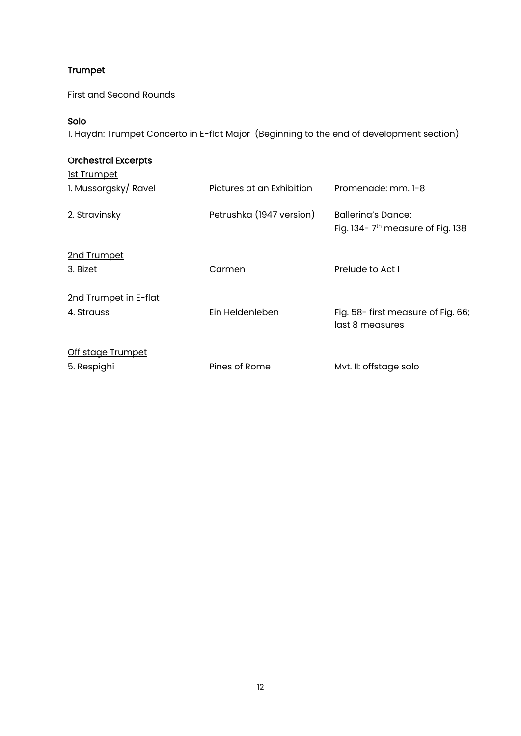# Trumpet

First and Second Rounds

#### Solo

1. Haydn: Trumpet Concerto in E-flat Major (Beginning to the end of development section)

| <b>Orchestral Excerpts</b> |                           |                                                                    |
|----------------------------|---------------------------|--------------------------------------------------------------------|
| <u>lst Trumpet</u>         |                           |                                                                    |
| 1. Mussorgsky/Ravel        | Pictures at an Exhibition | Promenade: mm. 1-8                                                 |
| 2. Stravinsky              | Petrushka (1947 version)  | Ballerina's Dance:<br>Fig. 134-7 <sup>th</sup> measure of Fig. 138 |
| 2nd Trumpet                |                           |                                                                    |
| 3. Bizet                   | Carmen                    | Prelude to Act I                                                   |
| 2nd Trumpet in E-flat      |                           |                                                                    |
| 4. Strauss                 | Ein Heldenleben           | Fig. 58- first measure of Fig. 66;<br>last 8 measures              |
| Off stage Trumpet          |                           |                                                                    |
| 5. Respighi                | Pines of Rome             | Mvt. II: offstage solo                                             |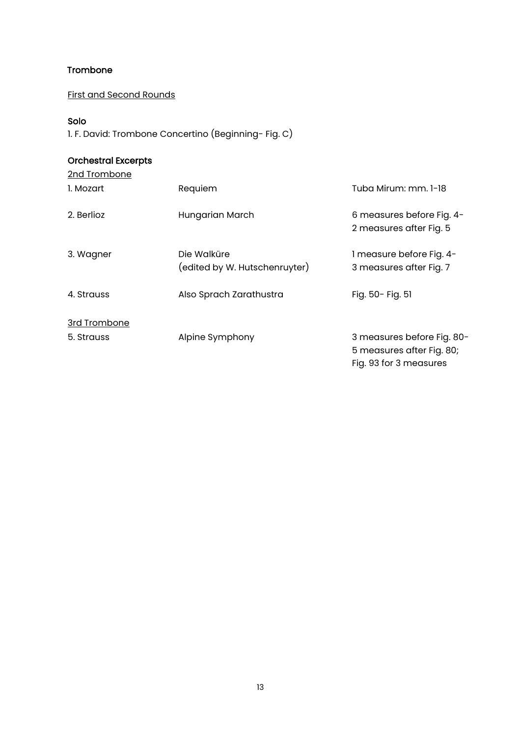### Trombone

First and Second Rounds

#### Solo

1. F. David: Trombone Concertino (Beginning- Fig. C)

| 2nd Trombone |                                              |                                                                                   |
|--------------|----------------------------------------------|-----------------------------------------------------------------------------------|
| I. Mozart    | Requiem                                      | Tuba Mirum: mm. 1-18                                                              |
| 2. Berlioz   | Hungarian March                              | 6 measures before Fig. 4-<br>2 measures after Fig. 5                              |
| 3. Wagner    | Die Walküre<br>(edited by W. Hutschenruyter) | 1 measure before Fig. 4-<br>3 measures after Fig. 7                               |
| 4. Strauss   | Also Sprach Zarathustra                      | Fig. 50- Fig. 51                                                                  |
| 3rd Trombone |                                              |                                                                                   |
| 5. Strauss   | Alpine Symphony                              | 3 measures before Fig. 80-<br>5 measures after Fig. 80;<br>Fig. 93 for 3 measures |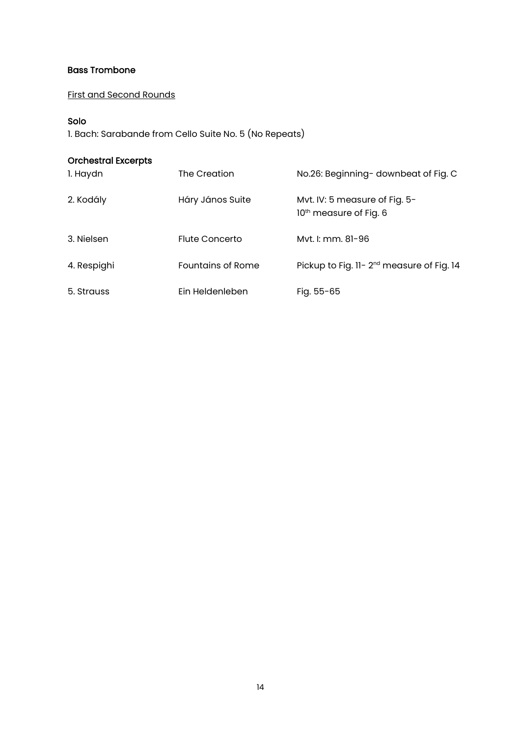#### Bass Trombone

First and Second Rounds

#### Solo

1. Bach: Sarabande from Cello Suite No. 5 (No Repeats)

| 1. Haydn    | The Creation             | No.26: Beginning-downbeat of Fig. C                                 |
|-------------|--------------------------|---------------------------------------------------------------------|
| 2. Kodály   | Háry János Suite         | Mvt. IV: 5 measure of Fig. 5-<br>10 <sup>th</sup> measure of Fig. 6 |
| 3. Nielsen  | Flute Concerto           | Myt. I: mm. 81-96                                                   |
| 4. Respighi | <b>Fountains of Rome</b> | Pickup to Fig. 11-2 <sup>nd</sup> measure of Fig. 14                |
| 5. Strauss  | Ein Heldenleben          | Fig. $55 - 65$                                                      |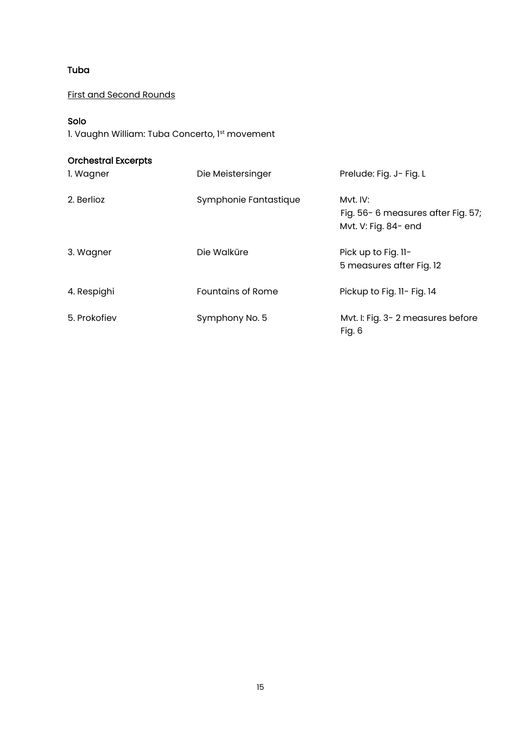### Tuba

First and Second Rounds

### Solo

1. Vaughn William: Tuba Concerto, 1st movement

| 1. Wagner    | Die Meistersinger        | Prelude: Fig. J- Fig. L                                               |
|--------------|--------------------------|-----------------------------------------------------------------------|
| 2. Berlioz   | Symphonie Fantastique    | Myt. IV:<br>Fig. 56-6 measures after Fig. 57;<br>Mvt. V: Fig. 84- end |
| 3. Wagner    | Die Walküre              | Pick up to Fig. 11-<br>5 measures after Fig. 12                       |
| 4. Respighi  | <b>Fountains of Rome</b> | Pickup to Fig. 11- Fig. 14                                            |
| 5. Prokofiev | Symphony No. 5           | Mvt. I: Fig. 3-2 measures before<br>Fig. 6                            |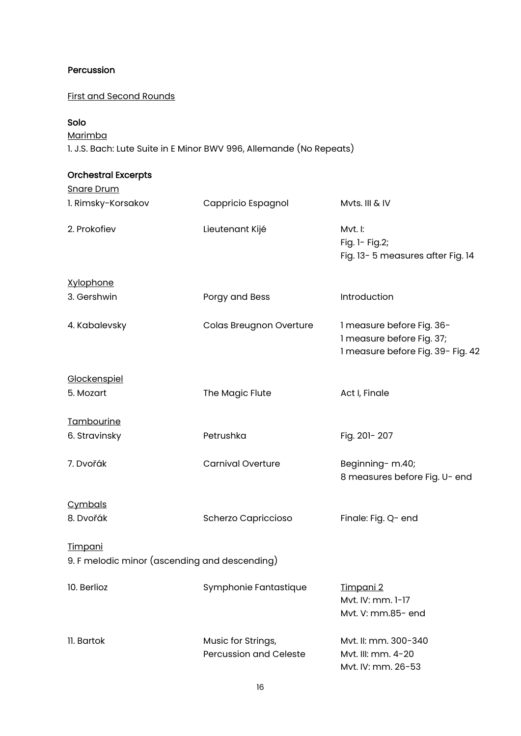### Percussion

# First and Second Rounds

# Solo

Marimba

1. J.S. Bach: Lute Suite in E Minor BWV 996, Allemande (No Repeats)

| <b>Snare Drum</b>                                               |                                                     |                                                                                             |
|-----------------------------------------------------------------|-----------------------------------------------------|---------------------------------------------------------------------------------------------|
| 1. Rimsky-Korsakov                                              | Cappricio Espagnol                                  | Mvts. III & IV                                                                              |
| 2. Prokofiev                                                    | Lieutenant Kijé                                     | Mvt. I:<br>Fig. 1- Fig. 2;<br>Fig. 13-5 measures after Fig. 14                              |
| <b>Xylophone</b>                                                |                                                     |                                                                                             |
| 3. Gershwin                                                     | Porgy and Bess                                      | Introduction                                                                                |
| 4. Kabalevsky                                                   | Colas Breugnon Overture                             | 1 measure before Fig. 36-<br>1 measure before Fig. 37;<br>1 measure before Fig. 39- Fig. 42 |
| Glockenspiel                                                    |                                                     |                                                                                             |
| 5. Mozart                                                       | The Magic Flute                                     | Act I, Finale                                                                               |
| Tambourine                                                      |                                                     |                                                                                             |
| 6. Stravinsky                                                   | Petrushka                                           | Fig. 201-207                                                                                |
| 7. Dvořák                                                       | <b>Carnival Overture</b>                            | Beginning- m.40;<br>8 measures before Fig. U- end                                           |
| Cymbals                                                         |                                                     |                                                                                             |
| 8. Dvořák                                                       | Scherzo Capriccioso                                 | Finale: Fig. Q- end                                                                         |
| <b>Timpani</b><br>9. F melodic minor (ascending and descending) |                                                     |                                                                                             |
| 10. Berlioz                                                     | Symphonie Fantastique                               | <u>Timpani 2</u><br>Mvt. IV: mm. 1-17<br>Mvt. V: mm.85- end                                 |
| 11. Bartok                                                      | Music for Strings,<br><b>Percussion and Celeste</b> | Myt. II: mm. 300-340<br>Myt. III: mm. 4-20<br>Mvt. IV: mm. 26-53                            |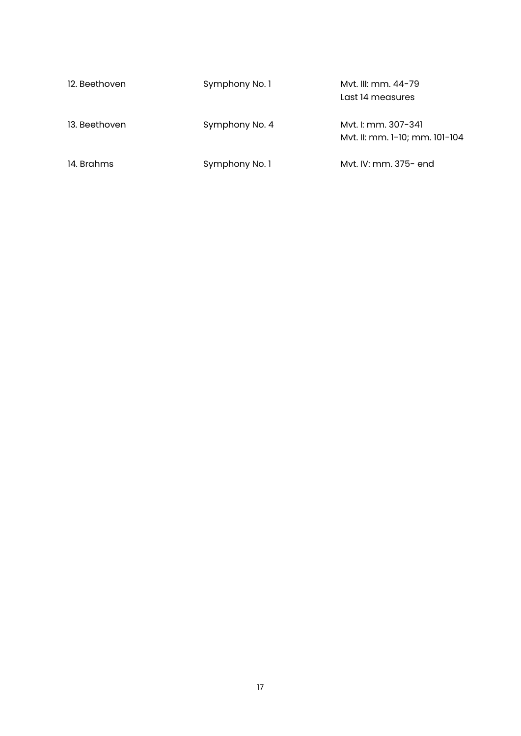| 12. Beethoven | Symphony No. 1 | Myt. III: mm. 44-79<br>Last 14 measures               |
|---------------|----------------|-------------------------------------------------------|
| 13. Beethoven | Symphony No. 4 | Myt. I: mm. 307-341<br>Myt. II: mm. 1-10; mm. 101-104 |
| 14. Brahms    | Symphony No. 1 | Myt. IV: mm. 375- end                                 |